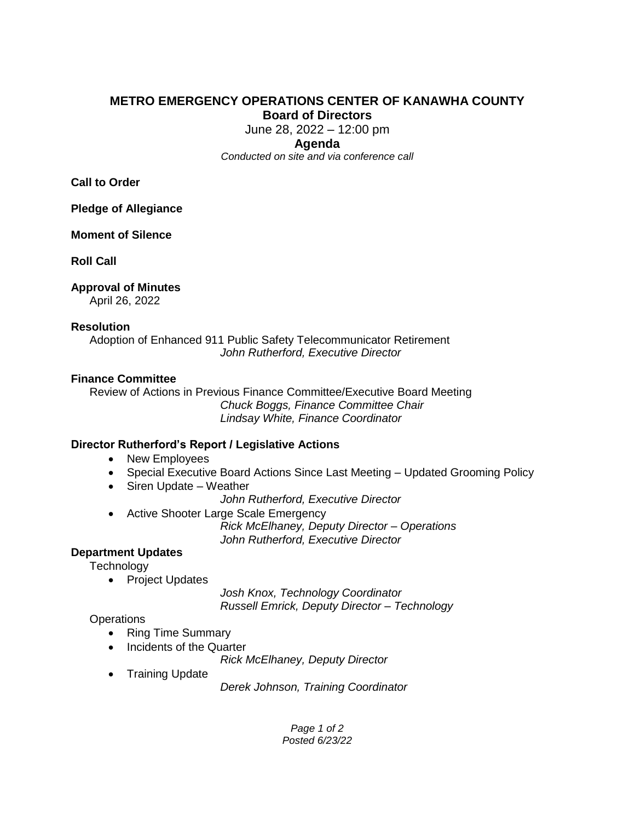# **METRO EMERGENCY OPERATIONS CENTER OF KANAWHA COUNTY Board of Directors**

June 28, 2022 – 12:00 pm

#### **Agenda**

*Conducted on site and via conference call*

**Call to Order**

**Pledge of Allegiance**

**Moment of Silence**

**Roll Call**

# **Approval of Minutes**

April 26, 2022

### **Resolution**

Adoption of Enhanced 911 Public Safety Telecommunicator Retirement *John Rutherford, Executive Director* 

### **Finance Committee**

Review of Actions in Previous Finance Committee/Executive Board Meeting *Chuck Boggs, Finance Committee Chair Lindsay White, Finance Coordinator*

## **Director Rutherford's Report / Legislative Actions**

- New Employees
- Special Executive Board Actions Since Last Meeting Updated Grooming Policy
- Siren Update Weather

*John Rutherford, Executive Director* 

• Active Shooter Large Scale Emergency

*Rick McElhaney, Deputy Director – Operations John Rutherford, Executive Director*

## **Department Updates**

**Technology** 

• Project Updates

*Josh Knox, Technology Coordinator Russell Emrick, Deputy Director – Technology* 

## **Operations**

- Ring Time Summary
- Incidents of the Quarter

*Rick McElhaney, Deputy Director*

• Training Update

*Derek Johnson, Training Coordinator* 

*Page 1 of 2 Posted 6/23/22*